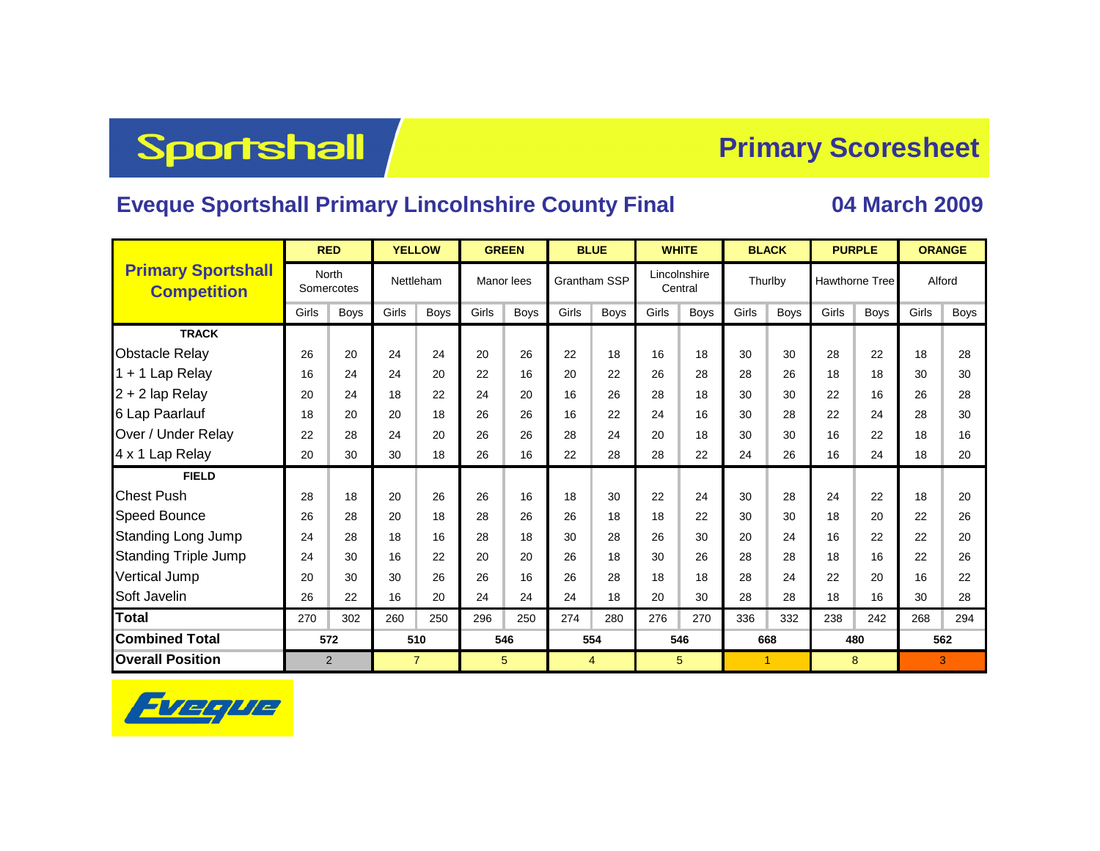# **Sportshall**

#### **Primary Scoresheet**

#### **Eveque Sportshall Primary Lincolnshire County Final 04 March 2009**

|                                                 | <b>RED</b>     |                            | <b>YELLOW</b>  |      |                 | <b>GREEN</b> | <b>BLUE</b>  |                |         | <b>WHITE</b> |         | <b>BLACK</b>   | <b>PURPLE</b>         |             | <b>ORANGE</b> |             |  |
|-------------------------------------------------|----------------|----------------------------|----------------|------|-----------------|--------------|--------------|----------------|---------|--------------|---------|----------------|-----------------------|-------------|---------------|-------------|--|
| <b>Primary Sportshall</b><br><b>Competition</b> |                | <b>North</b><br>Somercotes | Nettleham      |      | Manor lees      |              | Grantham SSP |                | Central | Lincolnshire | Thurlby |                | <b>Hawthorne Tree</b> |             | Alford        |             |  |
|                                                 | Girls          | Boys                       | Girls          | Boys | Girls           | <b>Boys</b>  | Girls        | <b>Boys</b>    | Girls   | <b>Boys</b>  | Girls   | <b>Boys</b>    | Girls                 | <b>Boys</b> | Girls         | <b>Boys</b> |  |
| <b>TRACK</b>                                    |                |                            |                |      |                 |              |              |                |         |              |         |                |                       |             |               |             |  |
| <b>Obstacle Relay</b>                           | 26             | 20                         | 24             | 24   | 20              | 26           | 22           | 18             | 16      | 18           | 30      | 30             | 28                    | 22          | 18            | 28          |  |
| 1 + 1 Lap Relay                                 | 16             | 24                         | 24             | 20   | 22              | 16           | 20           | 22             | 26      | 28           | 28      | 26             | 18                    | 18          | 30            | 30          |  |
| 2 + 2 lap Relay                                 | 20             | 24                         | 18             | 22   | 24              | 20           | 16           | 26             | 28      | 18           | 30      | 30             | 22                    | 16          | 26            | 28          |  |
| 6 Lap Paarlauf                                  | 18             | 20                         | 20             | 18   | 26              | 26           | 16           | 22             | 24      | 16           | 30      | 28             | 22                    | 24          | 28            | 30          |  |
| Over / Under Relay                              | 22             | 28                         | 24             | 20   | 26              | 26           | 28           | 24             | 20      | 18           | 30      | 30             | 16                    | 22          | 18            | 16          |  |
| 4 x 1 Lap Relay                                 | 20             | 30                         | 30             | 18   | 26              | 16           | 22           | 28             | 28      | 22           | 24      | 26             | 16                    | 24          | 18            | 20          |  |
| <b>FIELD</b>                                    |                |                            |                |      |                 |              |              |                |         |              |         |                |                       |             |               |             |  |
| <b>Chest Push</b>                               | 28             | 18                         | 20             | 26   | 26              | 16           | 18           | 30             | 22      | 24           | 30      | 28             | 24                    | 22          | 18            | 20          |  |
| Speed Bounce                                    | 26             | 28                         | 20             | 18   | 28              | 26           | 26           | 18             | 18      | 22           | 30      | 30             | 18                    | 20          | 22            | 26          |  |
| <b>Standing Long Jump</b>                       | 24             | 28                         | 18             | 16   | 28              | 18           | 30           | 28             | 26      | 30           | 20      | 24             | 16                    | 22          | 22            | 20          |  |
| <b>Standing Triple Jump</b>                     | 24             | 30                         | 16             | 22   | 20              | 20           | 26           | 18             | 30      | 26           | 28      | 28             | 18                    | 16          | 22            | 26          |  |
| Vertical Jump                                   | 20             | 30                         | 30             | 26   | 26              | 16           | 26           | 28             | 18      | 18           | 28      | 24             | 22                    | 20          | 16            | 22          |  |
| Soft Javelin                                    | 26             | 22                         | 16             | 20   | 24              | 24           | 24           | 18             | 20      | 30           | 28      | 28             | 18                    | 16          | 30            | 28          |  |
| <b>Total</b>                                    | 270            | 302                        | 260            | 250  | 296             | 250          | 274          | 280            | 276     | 270          | 336     | 332            | 238                   | 242         | 268           | 294         |  |
| <b>Combined Total</b>                           | 572            |                            | 510            |      | 546             |              | 554          |                |         | 546          |         | 668            |                       | 480         | 562           |             |  |
| <b>Overall Position</b>                         | $\overline{2}$ |                            | $\overline{7}$ |      | $5\phantom{.0}$ |              |              | $\overline{4}$ |         | 5            |         | $\overline{1}$ |                       | 8           | 3             |             |  |

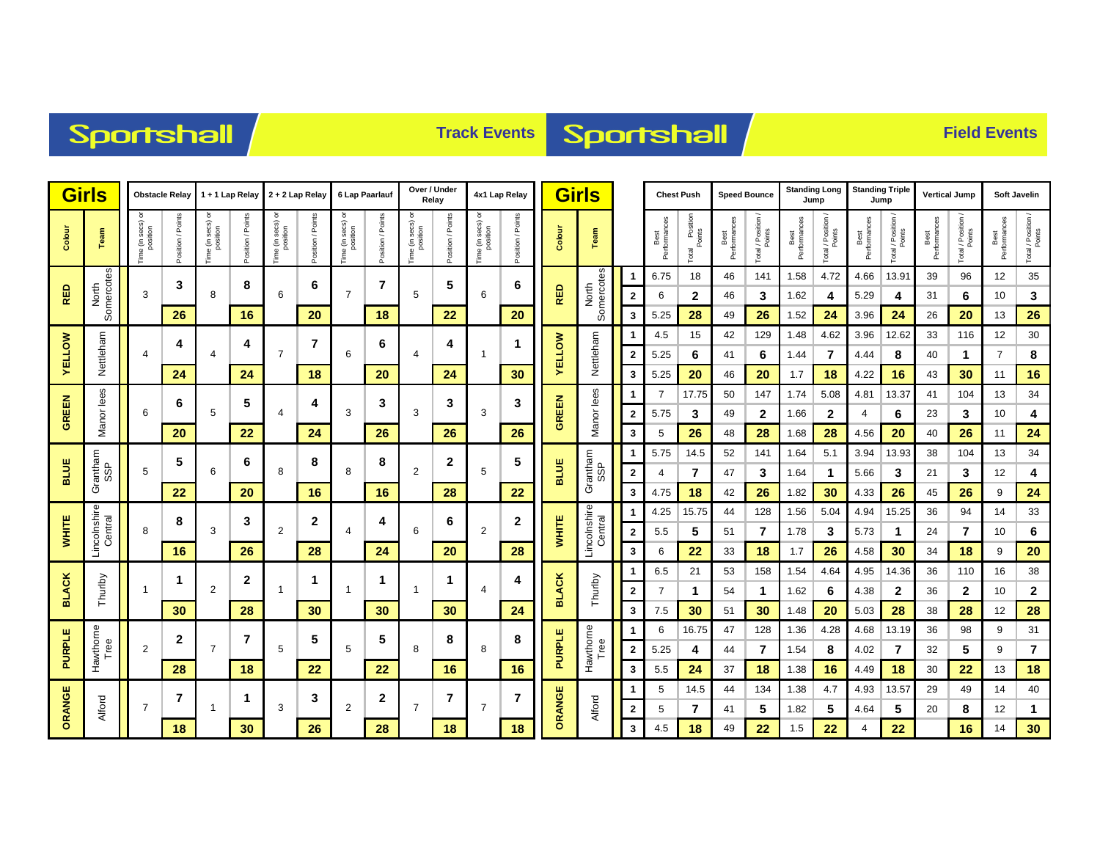### Sportshall

## **Track Events Sportshall**

|                                   | <b>Girls</b><br>Obstacle Relay |                               | 1 + 1 Lap Relay<br>2 + 2 Lap Relay |                                       |                   | 6 Lap Paarlauf                       |                      | Over / Under<br>Relay                |                   | 4x1 Lap Relay                 |                  | <b>Girls</b>                  |                   |                     | <b>Chest Push</b>       |                              | <b>Speed Bounce</b>  |                               | <b>Standing Long</b><br>Jump |                              | <b>Standing Triple</b><br>Jump |                              | <b>Vertical Jump</b> |                              | <b>Soft Javelin</b>  |                              |                      |                              |
|-----------------------------------|--------------------------------|-------------------------------|------------------------------------|---------------------------------------|-------------------|--------------------------------------|----------------------|--------------------------------------|-------------------|-------------------------------|------------------|-------------------------------|-------------------|---------------------|-------------------------|------------------------------|----------------------|-------------------------------|------------------------------|------------------------------|--------------------------------|------------------------------|----------------------|------------------------------|----------------------|------------------------------|----------------------|------------------------------|
| Colour                            | Team                           | Time (in secs) or<br>position | Position / Points                  | e (in secs) or<br>position<br>ime (in | Position / Points | a (in secs) or<br>position<br>e<br>E | / Points<br>Position | a (in secs) or<br>position<br>e<br>E | Position / Points | Time (in secs) or<br>position | osition / Points | Time (in secs) or<br>position | Position / Points | Colour              | Team                    |                              | Best<br>Performances | l Position<br>Points<br>Total | Best<br>Performances         | Total / Position /<br>Points | Best<br>Performances           | Total / Position /<br>Points | Performances<br>Best | Total / Position /<br>Points | Best<br>Performances | Total / Position /<br>Points | Best<br>Performances | Total / Position /<br>Points |
| Somercotes<br>North<br><b>RED</b> |                                | 3                             |                                    | 8                                     |                   | 6                                    |                      | $\overline{7}$                       |                   | 5                             |                  | 6                             |                   | North<br>Somercotes |                         | 6.75                         | 18                   | 46                            | 141                          | 1.58                         | 4.72                           | 4.66                         | 13.91                | 39                           | 96                   | 12                           | 35                   |                              |
|                                   |                                | 3                             |                                    | 8                                     |                   | 6                                    |                      | $\overline{7}$                       |                   | 5                             |                  | 6                             |                   | <b>RED</b>          |                         | $\overline{\mathbf{2}}$      | 6                    | 2                             | 46                           | 3                            | 1.62                           | 4                            | 5.29                 | 4                            | 31                   | 6                            | 10                   | 3                            |
|                                   |                                |                               | 26                                 |                                       | 16                |                                      | 20                   |                                      | 18                |                               | 22               |                               | 20                |                     |                         | 3                            | 5.25                 | 28                            | 49                           | 26                           | 1.52                           | 24                           | 3.96                 | 24                           | 26                   | 20                           | 13                   | 26                           |
|                                   |                                |                               | 4                                  |                                       | 4                 |                                      | $\overline{7}$       |                                      | 6                 |                               | 4                |                               | 1                 |                     |                         |                              | 4.5                  | 15                            | 42                           | 129                          | 1.48                           | 4.62                         | 3.96                 | 12.62                        | 33                   | 116                          | 12                   | 30                           |
| <b>VELLOW</b>                     | Nettleham                      | 4                             |                                    | $\overline{4}$                        |                   | $\overline{7}$                       |                      | 6                                    |                   | 4                             |                  | $\mathbf 1$                   |                   | <b>VELLOW</b>       | Nettleham               | $\mathbf{2}$                 | 5.25                 | 6                             | 41                           | 6                            | 1.44                           | 7                            | 4.44                 | 8                            | 40                   | 1                            | 7                    | 8                            |
|                                   |                                |                               | 24                                 |                                       | 24                |                                      | 18                   |                                      | 20                |                               | 24               |                               | 30                |                     |                         | 3                            | 5.25                 | 20                            | 46                           | 20                           | 1.7                            | 18                           | 4.22                 | 16                           | 43                   | 30                           | 11                   | 16                           |
| GREEN                             | Manor lees                     | 6                             | 6                                  |                                       | 5                 |                                      | 4                    |                                      | 3                 |                               | 3                |                               | 3                 |                     | Manor lees              | 1                            | 7                    | 17.75                         | 50                           | 147                          | 1.74                           | 5.08                         | 4.81                 | 13.37                        | 41                   | 104                          | 13                   | 34                           |
|                                   |                                |                               |                                    | 5                                     |                   | $\overline{4}$                       |                      | 3                                    |                   | 3                             |                  | 3                             |                   | GREEN               |                         | $\mathbf{2}$                 | 5.75                 | 3                             | 49                           | $\mathbf{2}$                 | 1.66                           | $\mathbf{2}$                 | 4                    | 6                            | 23                   | 3                            | 10                   | 4                            |
|                                   |                                |                               | 20                                 |                                       | 22                |                                      | 24                   |                                      | 26                |                               | 26               |                               | 26                |                     |                         | 3                            | 5                    | 26                            | 48                           | 28                           | 1.68                           | 28                           | 4.56                 | 20                           | 40                   | 26                           | 11                   | 24                           |
| <b>BLUE</b>                       |                                | 5                             | 5                                  | 6                                     | 6                 | 8                                    | 8                    | 8                                    | 8                 | $\overline{2}$                | 2                | 5                             | 5                 | <b>BLUE</b>         |                         | -1                           | 5.75                 | 14.5                          | 52                           | 141                          | 1.64                           | 5.1                          | 3.94                 | 13.93                        | 38                   | 104                          | 13                   | 34                           |
|                                   | Grantham<br>SSP                |                               | 22                                 |                                       | 20                |                                      | 16                   |                                      | 16                |                               | 28               |                               |                   |                     | Grantham<br>SSP         | $\overline{\mathbf{2}}$<br>3 | 4<br>4.75            | 7                             | 47<br>42                     | 3<br>26                      | 1.64<br>1.82                   | $\mathbf{1}$                 | 5.66<br>4.33         | 3                            | 21<br>45             | 3                            | 12<br>9              | 4                            |
|                                   |                                |                               |                                    |                                       |                   |                                      |                      |                                      |                   |                               |                  |                               | 22                |                     |                         | -1                           | 4.25                 | 18<br>15.75                   | 44                           | 128                          | 1.56                           | 30<br>5.04                   | 4.94                 | 26<br>15.25                  | 36                   | 26<br>94                     | 14                   | 24<br>33                     |
| <b>WHITE</b>                      |                                | 8                             | 8                                  | 3                                     | 3                 | $\overline{2}$                       | 2                    | 4                                    | 4                 | 6                             | 6                | $\overline{2}$                | 2<br>28           | WHITE               | Lincolnshire<br>Central | $\overline{\mathbf{2}}$      | 5.5                  | 5                             | 51                           | 7                            | 1.78                           | 3                            | 5.73                 | $\mathbf 1$                  | 24                   | 7                            | 10                   | 6                            |
|                                   | Lincolnshire<br>Central        |                               | 16                                 |                                       | 26                |                                      | 28                   |                                      | 24                |                               | 20               |                               |                   |                     |                         | 3                            | 6                    | 22                            | 33                           | 18                           | 1.7                            | 26                           | 4.58                 | 30                           | 34                   | 18                           | 9                    | 20                           |
|                                   |                                |                               |                                    |                                       |                   |                                      |                      |                                      |                   |                               |                  | 4                             |                   |                     |                         | 1                            | 6.5                  | 21                            | 53                           | 158                          | 1.54                           | 4.64                         | 4.95                 | 14.36                        | 36                   | 110                          | 16                   | 38                           |
| <b>BLACK</b>                      | Thurlby                        |                               | 1                                  | 2                                     | $\mathbf{2}$      |                                      | 1                    | -1                                   | 1                 |                               | 1                |                               | 4                 | <b>BLACK</b>        | Thurlby                 | $\overline{\mathbf{2}}$      |                      | 1                             | 54                           | 1                            | 1.62                           | 6                            | 4.38                 | 2                            | 36                   | 2                            | 10                   | $\mathbf{2}$                 |
|                                   |                                |                               | 30                                 |                                       | 28                |                                      | 30                   |                                      | 30                |                               | 30               |                               | 24                |                     |                         | 3                            | 7.5                  | 30                            | 51                           | 30                           | 1.48                           | 20                           | 5.03                 | 28                           | 38                   | 28                           | 12                   | 28                           |
|                                   |                                |                               |                                    |                                       |                   |                                      |                      |                                      |                   |                               |                  |                               |                   |                     |                         | -1                           | 6                    | 16.75                         | 47                           | 128                          | 1.36                           | 4.28                         | 4.68                 | 13.19                        | 36                   | 98                           | 9                    | 31                           |
| PURPLE                            | Hawthorne<br>Tree              | $\overline{2}$                | 2                                  | $\overline{7}$                        | 7                 | 5                                    | 5                    | 5                                    | 5                 | 8                             | 8                | 8                             | 8                 | PURPLE              | Hawthorne<br>Tree       | $\overline{\mathbf{2}}$      | 5.25                 | 4                             | 44                           | 7                            | 1.54                           | 8                            | 4.02                 | 7                            | 32                   | 5                            | 9                    | 7                            |
|                                   |                                |                               | 28                                 |                                       | 18                |                                      | 22                   |                                      | 22                |                               | 16               |                               | 16                |                     |                         | 3                            | 5.5                  | 24                            | 37                           | 18                           | 1.38                           | 16                           | 4.49                 | 18                           | 30                   | 22                           | 13                   | 18                           |
| ORANGE                            |                                |                               |                                    |                                       |                   |                                      |                      |                                      |                   |                               |                  |                               |                   |                     |                         | -1                           | 5                    | 14.5                          | 44                           | 134                          | 1.38                           | 4.7                          | 4.93                 | 13.57                        | 29                   | 49                           | 14                   | 40                           |
|                                   | Alford                         | $\overline{7}$                | 7                                  |                                       | $\mathbf 1$       | 3                                    | 3                    | $\mathbf{2}$                         | $\mathbf 2$       | $\overline{7}$                | 7                | $\overline{7}$                | 7                 | ORANGE              | Alford                  | $\overline{\mathbf{2}}$      | 5                    | 7                             | 41                           | 5                            | 1.82                           | 5                            | 4.64                 | 5                            | 20                   | 8                            | 12                   | $\mathbf 1$                  |
|                                   |                                |                               | 18                                 |                                       | 30                |                                      | 26                   |                                      | 28                |                               | 18               |                               | 18                |                     |                         | 3                            | 4.5                  | 18                            | 49                           | 22                           | 1.5                            | 22                           |                      | 22                           |                      | 16                           | 14                   | 30                           |